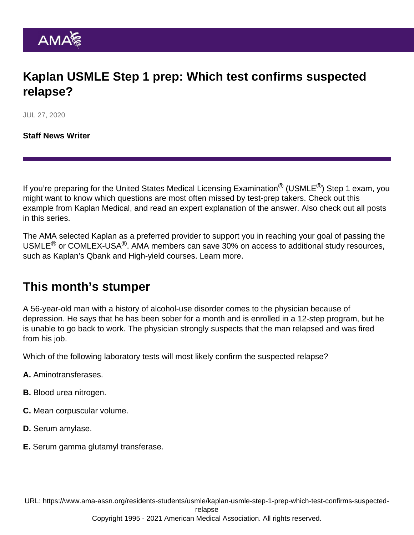# Kaplan USMLE Step 1 prep: Which test confirms suspected relapse?

JUL 27, 2020

[Staff News Writer](https://www.ama-assn.org/news-leadership-viewpoints/authors-news-leadership-viewpoints/staff-news-writer)

If you're preparing for the United States Medical Licensing Examination<sup>®</sup> (USMLE<sup>®</sup>) Step 1 exam, you might want to know which questions are most often missed by test-prep takers. Check out this example from Kaplan Medical, and read an expert explanation of the answer. Also check out [all posts](https://www.ama-assn.org/residents-students/usmle) [in this series.](https://www.ama-assn.org/residents-students/usmle)

The AMA selected Kaplan as a preferred provider to support you in reaching your goal of passing the USMLE<sup>®</sup> or COMLEX-USA<sup>®</sup>. AMA members can save 30% on access to additional study resources, such as Kaplan's Qbank and High-yield courses. [Learn more.](https://www.ama-assn.org/ama-member-benefits/individual-member-benefits/educational-student-discounts)

#### This month's stumper

A 56-year-old man with a history of alcohol-use disorder comes to the physician because of depression. He says that he has been sober for a month and is enrolled in a 12-step program, but he is unable to go back to work. The physician strongly suspects that the man relapsed and was fired from his job.

Which of the following laboratory tests will most likely confirm the suspected relapse?

- A. Aminotransferases.
- B. Blood urea nitrogen.
- C. Mean corpuscular volume.
- D. Serum amylase.
- E. Serum gamma glutamyl transferase.

URL: [https://www.ama-assn.org/residents-students/usmle/kaplan-usmle-step-1-prep-which-test-confirms-suspected-](https://www.ama-assn.org/residents-students/usmle/kaplan-usmle-step-1-prep-which-test-confirms-suspected-relapse)

[relapse](https://www.ama-assn.org/residents-students/usmle/kaplan-usmle-step-1-prep-which-test-confirms-suspected-relapse)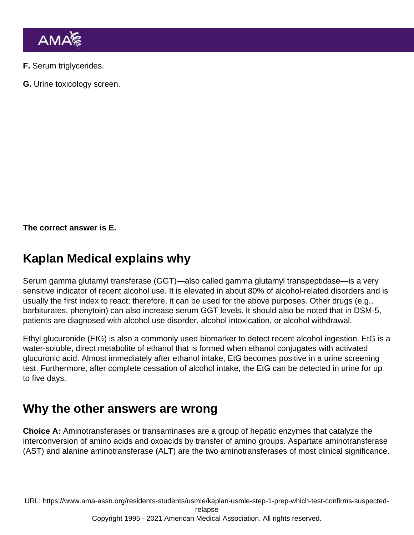F. Serum triglycerides.

G. Urine toxicology screen.

The correct answer is E.

# Kaplan Medical explains why

Serum gamma glutamyl transferase (GGT)—also called gamma glutamyl transpeptidase—is a very sensitive indicator of recent alcohol use. It is elevated in about 80% of alcohol-related disorders and is usually the first index to react; therefore, it can be used for the above purposes. Other drugs (e.g., barbiturates, phenytoin) can also increase serum GGT levels. It should also be noted that in DSM-5, patients are diagnosed with alcohol use disorder, alcohol intoxication, or alcohol withdrawal.

Ethyl glucuronide (EtG) is also a commonly used biomarker to detect recent alcohol ingestion. EtG is a water-soluble, direct metabolite of ethanol that is formed when ethanol conjugates with activated glucuronic acid. Almost immediately after ethanol intake, EtG becomes positive in a urine screening test. Furthermore, after complete cessation of alcohol intake, the EtG can be detected in urine for up to five days.

### Why the other answers are wrong

Choice A: Aminotransferases or transaminases are a group of hepatic enzymes that catalyze the interconversion of amino acids and oxoacids by transfer of amino groups. Aspartate aminotransferase (AST) and alanine aminotransferase (ALT) are the two aminotransferases of most clinical significance.

URL: [https://www.ama-assn.org/residents-students/usmle/kaplan-usmle-step-1-prep-which-test-confirms-suspected](https://www.ama-assn.org/residents-students/usmle/kaplan-usmle-step-1-prep-which-test-confirms-suspected-relapse)[relapse](https://www.ama-assn.org/residents-students/usmle/kaplan-usmle-step-1-prep-which-test-confirms-suspected-relapse) Copyright 1995 - 2021 American Medical Association. All rights reserved.